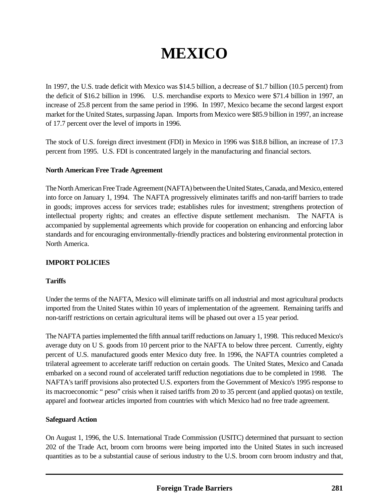# **MEXICO**

In 1997, the U.S. trade deficit with Mexico was \$14.5 billion, a decrease of \$1.7 billion (10.5 percent) from the deficit of \$16.2 billion in 1996. U.S. merchandise exports to Mexico were \$71.4 billion in 1997, an increase of 25.8 percent from the same period in 1996. In 1997, Mexico became the second largest export market for the United States, surpassing Japan. Imports from Mexico were \$85.9 billion in 1997, an increase of 17.7 percent over the level of imports in 1996.

The stock of U.S. foreign direct investment (FDI) in Mexico in 1996 was \$18.8 billion, an increase of 17.3 percent from 1995. U.S. FDI is concentrated largely in the manufacturing and financial sectors.

#### **North American Free Trade Agreement**

The North American Free Trade Agreement (NAFTA) between the United States, Canada, and Mexico, entered into force on January 1, 1994. The NAFTA progressively eliminates tariffs and non-tariff barriers to trade in goods; improves access for services trade; establishes rules for investment; strengthens protection of intellectual property rights; and creates an effective dispute settlement mechanism. The NAFTA is accompanied by supplemental agreements which provide for cooperation on enhancing and enforcing labor standards and for encouraging environmentally-friendly practices and bolstering environmental protection in North America.

#### **IMPORT POLICIES**

#### **Tariffs**

Under the terms of the NAFTA, Mexico will eliminate tariffs on all industrial and most agricultural products imported from the United States within 10 years of implementation of the agreement. Remaining tariffs and non-tariff restrictions on certain agricultural items will be phased out over a 15 year period.

The NAFTA parties implemented the fifth annual tariff reductions on January 1, 1998. This reduced Mexico's average duty on U S. goods from 10 percent prior to the NAFTA to below three percent. Currently, eighty percent of U.S. manufactured goods enter Mexico duty free. In 1996, the NAFTA countries completed a trilateral agreement to accelerate tariff reduction on certain goods. The United States, Mexico and Canada embarked on a second round of accelerated tariff reduction negotiations due to be completed in 1998. The NAFTA's tariff provisions also protected U.S. exporters from the Government of Mexico's 1995 response to its macroeconomic " peso" crisis when it raised tariffs from 20 to 35 percent (and applied quotas) on textile, apparel and footwear articles imported from countries with which Mexico had no free trade agreement.

#### **Safeguard Action**

On August 1, 1996, the U.S. International Trade Commission (USITC) determined that pursuant to section 202 of the Trade Act, broom corn brooms were being imported into the United States in such increased quantities as to be a substantial cause of serious industry to the U.S. broom corn broom industry and that,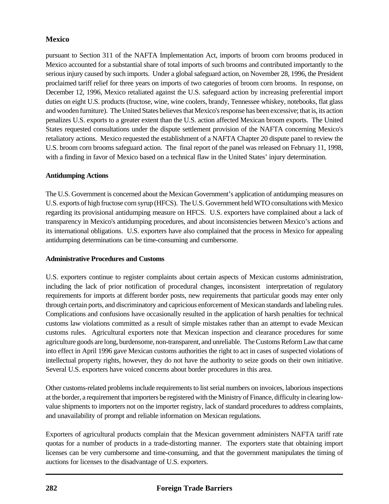pursuant to Section 311 of the NAFTA Implementation Act, imports of broom corn brooms produced in Mexico accounted for a substantial share of total imports of such brooms and contributed importantly to the serious injury caused by such imports. Under a global safeguard action, on November 28, 1996, the President proclaimed tariff relief for three years on imports of two categories of broom corn brooms. In response, on December 12, 1996, Mexico retaliated against the U.S. safeguard action by increasing preferential import duties on eight U.S. products (fructose, wine, wine coolers, brandy, Tennessee whiskey, notebooks, flat glass and wooden furniture). The United States believes that Mexico's response has been excessive; that is, its action penalizes U.S. exports to a greater extent than the U.S. action affected Mexican broom exports. The United States requested consultations under the dispute settlement provision of the NAFTA concerning Mexico's retaliatory actions. Mexico requested the establishment of a NAFTA Chapter 20 dispute panel to review the U.S. broom corn brooms safeguard action. The final report of the panel was released on February 11, 1998, with a finding in favor of Mexico based on a technical flaw in the United States' injury determination.

#### **Antidumping Actions**

The U.S. Government is concerned about the Mexican Government's application of antidumping measures on U.S. exports of high fructose corn syrup (HFCS). The U.S. Government held WTO consultations with Mexico regarding its provisional antidumping measure on HFCS. U.S. exporters have complained about a lack of transparency in Mexico's antidumping procedures, and about inconsistencies between Mexico's actions and its international obligations. U.S. exporters have also complained that the process in Mexico for appealing antidumping determinations can be time-consuming and cumbersome.

# **Administrative Procedures and Customs**

U.S. exporters continue to register complaints about certain aspects of Mexican customs administration, including the lack of prior notification of procedural changes, inconsistent interpretation of regulatory requirements for imports at different border posts, new requirements that particular goods may enter only through certain ports, and discriminatory and capricious enforcement of Mexican standards and labeling rules. Complications and confusions have occasionally resulted in the application of harsh penalties for technical customs law violations committed as a result of simple mistakes rather than an attempt to evade Mexican customs rules. Agricultural exporters note that Mexican inspection and clearance procedures for some agriculture goods are long, burdensome, non-transparent, and unreliable. The Customs Reform Law that came into effect in April 1996 gave Mexican customs authorities the right to act in cases of suspected violations of intellectual property rights, however, they do not have the authority to seize goods on their own initiative. Several U.S. exporters have voiced concerns about border procedures in this area.

Other customs-related problems include requirements to list serial numbers on invoices, laborious inspections at the border, a requirement that importers be registered with the Ministry of Finance, difficulty in clearing lowvalue shipments to importers not on the importer registry, lack of standard procedures to address complaints, and unavailability of prompt and reliable information on Mexican regulations.

Exporters of agricultural products complain that the Mexican government administers NAFTA tariff rate quotas for a number of products in a trade-distorting manner. The exporters state that obtaining import licenses can be very cumbersome and time-consuming, and that the government manipulates the timing of auctions for licenses to the disadvantage of U.S. exporters.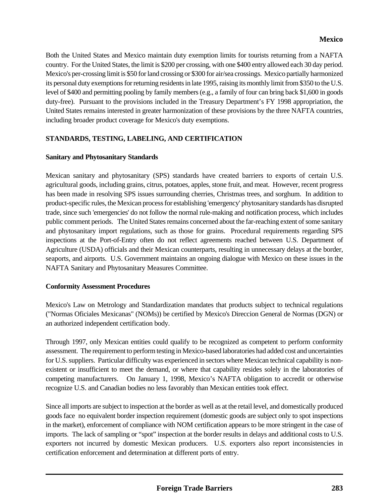Both the United States and Mexico maintain duty exemption limits for tourists returning from a NAFTA country. For the United States, the limit is \$200 per crossing, with one \$400 entry allowed each 30 day period. Mexico's per-crossing limit is \$50 for land crossing or \$300 for air/sea crossings. Mexico partially harmonized its personal duty exemptions for returning residents in late 1995, raising its monthly limit from \$350 to the U.S. level of \$400 and permitting pooling by family members (e.g., a family of four can bring back \$1,600 in goods duty-free). Pursuant to the provisions included in the Treasury Department's FY 1998 appropriation, the United States remains interested in greater harmonization of these provisions by the three NAFTA countries, including broader product coverage for Mexico's duty exemptions.

# **STANDARDS, TESTING, LABELING, AND CERTIFICATION**

#### **Sanitary and Phytosanitary Standards**

Mexican sanitary and phytosanitary (SPS) standards have created barriers to exports of certain U.S. agricultural goods, including grains, citrus, potatoes, apples, stone fruit, and meat. However, recent progress has been made in resolving SPS issues surrounding cherries, Christmas trees, and sorghum. In addition to product-specific rules, the Mexican process for establishing 'emergency' phytosanitary standards has disrupted trade, since such 'emergencies' do not follow the normal rule-making and notification process, which includes public comment periods. The United States remains concerned about the far-reaching extent of some sanitary and phytosanitary import regulations, such as those for grains. Procedural requirements regarding SPS inspections at the Port-of-Entry often do not reflect agreements reached between U.S. Department of Agriculture (USDA) officials and their Mexican counterparts, resulting in unnecessary delays at the border, seaports, and airports. U.S. Government maintains an ongoing dialogue with Mexico on these issues in the NAFTA Sanitary and Phytosanitary Measures Committee.

#### **Conformity Assessment Procedures**

Mexico's Law on Metrology and Standardization mandates that products subject to technical regulations ("Normas Oficiales Mexicanas" (NOMs)) be certified by Mexico's Direccion General de Normas (DGN) or an authorized independent certification body.

Through 1997, only Mexican entities could qualify to be recognized as competent to perform conformity assessment. The requirement to perform testing in Mexico-based laboratories had added cost and uncertainties for U.S. suppliers. Particular difficulty was experienced in sectors where Mexican technical capability is nonexistent or insufficient to meet the demand, or where that capability resides solely in the laboratories of competing manufacturers. On January 1, 1998, Mexico's NAFTA obligation to accredit or otherwise recognize U.S. and Canadian bodies no less favorably than Mexican entities took effect.

Since all imports are subject to inspection at the border as well as at the retail level, and domestically produced goods face no equivalent border inspection requirement (domestic goods are subject only to spot inspections in the market), enforcement of compliance with NOM certification appears to be more stringent in the case of imports. The lack of sampling or "spot" inspection at the border results in delays and additional costs to U.S. exporters not incurred by domestic Mexican producers. U.S. exporters also report inconsistencies in certification enforcement and determination at different ports of entry.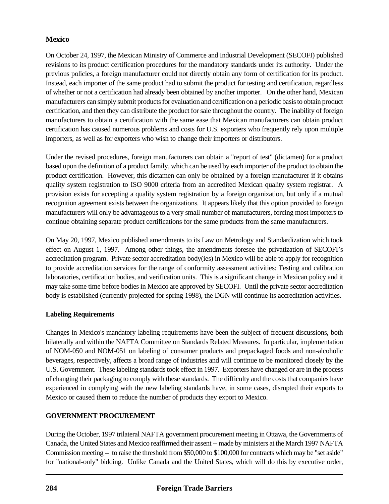On October 24, 1997, the Mexican Ministry of Commerce and Industrial Development (SECOFI) published revisions to its product certification procedures for the mandatory standards under its authority. Under the previous policies, a foreign manufacturer could not directly obtain any form of certification for its product. Instead, each importer of the same product had to submit the product for testing and certification, regardless of whether or not a certification had already been obtained by another importer. On the other hand, Mexican manufacturers can simply submit products for evaluation and certification on a periodic basis to obtain product certification, and then they can distribute the product for sale throughout the country. The inability of foreign manufacturers to obtain a certification with the same ease that Mexican manufacturers can obtain product certification has caused numerous problems and costs for U.S. exporters who frequently rely upon multiple importers, as well as for exporters who wish to change their importers or distributors.

Under the revised procedures, foreign manufacturers can obtain a "report of test" (dictamen) for a product based upon the definition of a product family, which can be used by each importer of the product to obtain the product certification. However, this dictamen can only be obtained by a foreign manufacturer if it obtains quality system registration to ISO 9000 criteria from an accredited Mexican quality system registrar. A provision exists for accepting a quality system registration by a foreign organization, but only if a mutual recognition agreement exists between the organizations. It appears likely that this option provided to foreign manufacturers will only be advantageous to a very small number of manufacturers, forcing most importers to continue obtaining separate product certifications for the same products from the same manufacturers.

On May 20, 1997, Mexico published amendments to its Law on Metrology and Standardization which took effect on August 1, 1997. Among other things, the amendments foresee the privatization of SECOFI's accreditation program. Private sector accreditation body(ies) in Mexico will be able to apply for recognition to provide accreditation services for the range of conformity assessment activities: Testing and calibration laboratories, certification bodies, and verification units. This is a significant change in Mexican policy and it may take some time before bodies in Mexico are approved by SECOFI. Until the private sector accreditation body is established (currently projected for spring 1998), the DGN will continue its accreditation activities.

# **Labeling Requirements**

Changes in Mexico's mandatory labeling requirements have been the subject of frequent discussions, both bilaterally and within the NAFTA Committee on Standards Related Measures. In particular, implementation of NOM-050 and NOM-051 on labeling of consumer products and prepackaged foods and non-alcoholic beverages, respectively, affects a broad range of industries and will continue to be monitored closely by the U.S. Government. These labeling standards took effect in 1997. Exporters have changed or are in the process of changing their packaging to comply with these standards. The difficulty and the costs that companies have experienced in complying with the new labeling standards have, in some cases, disrupted their exports to Mexico or caused them to reduce the number of products they export to Mexico.

# **GOVERNMENT PROCUREMENT**

During the October, 1997 trilateral NAFTA government procurement meeting in Ottawa, the Governments of Canada, the United States and Mexico reaffirmed their assent -- made by ministers at the March 1997 NAFTA Commission meeting -- to raise the threshold from \$50,000 to \$100,000 for contracts which may be "set aside" for "national-only" bidding. Unlike Canada and the United States, which will do this by executive order,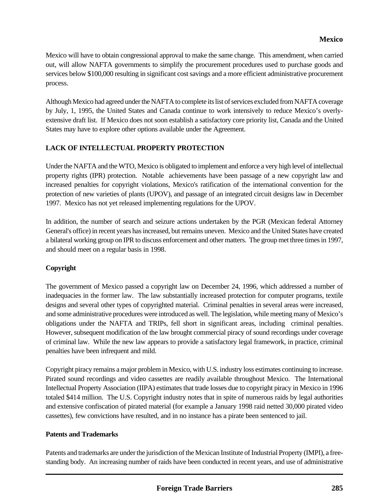Mexico will have to obtain congressional approval to make the same change. This amendment, when carried out, will allow NAFTA governments to simplify the procurement procedures used to purchase goods and services below \$100,000 resulting in significant cost savings and a more efficient administrative procurement process.

Although Mexico had agreed under the NAFTA to complete its list of services excluded from NAFTA coverage by July, 1, 1995, the United States and Canada continue to work intensively to reduce Mexico's overlyextensive draft list. If Mexico does not soon establish a satisfactory core priority list, Canada and the United States may have to explore other options available under the Agreement.

# **LACK OF INTELLECTUAL PROPERTY PROTECTION**

Under the NAFTA and the WTO, Mexico is obligated to implement and enforce a very high level of intellectual property rights (IPR) protection. Notable achievements have been passage of a new copyright law and increased penalties for copyright violations, Mexico's ratification of the international convention for the protection of new varieties of plants (UPOV), and passage of an integrated circuit designs law in December 1997. Mexico has not yet released implementing regulations for the UPOV.

In addition, the number of search and seizure actions undertaken by the PGR (Mexican federal Attorney General's office) in recent years has increased, but remains uneven. Mexico and the United States have created a bilateral working group on IPR to discuss enforcement and other matters. The group met three times in 1997, and should meet on a regular basis in 1998.

# **Copyright**

The government of Mexico passed a copyright law on December 24, 1996, which addressed a number of inadequacies in the former law. The law substantially increased protection for computer programs, textile designs and several other types of copyrighted material. Criminal penalties in several areas were increased, and some administrative procedures were introduced as well. The legislation, while meeting many of Mexico's obligations under the NAFTA and TRIPs, fell short in significant areas, including criminal penalties. However, subsequent modification of the law brought commercial piracy of sound recordings under coverage of criminal law. While the new law appears to provide a satisfactory legal framework, in practice, criminal penalties have been infrequent and mild.

Copyright piracy remains a major problem in Mexico, with U.S. industry loss estimates continuing to increase. Pirated sound recordings and video cassettes are readily available throughout Mexico. The International Intellectual Property Association (IIPA) estimates that trade losses due to copyright piracy in Mexico in 1996 totaled \$414 million. The U.S. Copyright industry notes that in spite of numerous raids by legal authorities and extensive confiscation of pirated material (for example a January 1998 raid netted 30,000 pirated video cassettes), few convictions have resulted, and in no instance has a pirate been sentenced to jail.

#### **Patents and Trademarks**

Patents and trademarks are under the jurisdiction of the Mexican Institute of Industrial Property (IMPI), a freestanding body. An increasing number of raids have been conducted in recent years, and use of administrative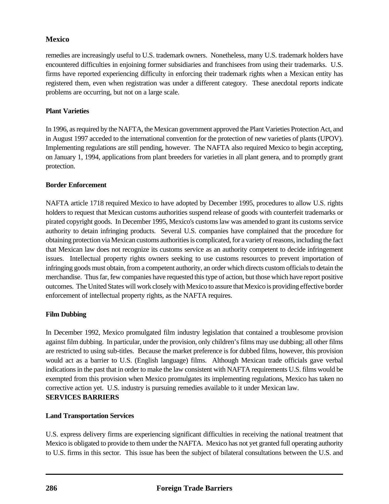remedies are increasingly useful to U.S. trademark owners. Nonetheless, many U.S. trademark holders have encountered difficulties in enjoining former subsidiaries and franchisees from using their trademarks. U.S. firms have reported experiencing difficulty in enforcing their trademark rights when a Mexican entity has registered them, even when registration was under a different category. These anecdotal reports indicate problems are occurring, but not on a large scale.

# **Plant Varieties**

In 1996, as required by the NAFTA, the Mexican government approved the Plant Varieties Protection Act, and in August 1997 acceded to the international convention for the protection of new varieties of plants (UPOV). Implementing regulations are still pending, however. The NAFTA also required Mexico to begin accepting, on January 1, 1994, applications from plant breeders for varieties in all plant genera, and to promptly grant protection.

# **Border Enforcement**

NAFTA article 1718 required Mexico to have adopted by December 1995, procedures to allow U.S. rights holders to request that Mexican customs authorities suspend release of goods with counterfeit trademarks or pirated copyright goods. In December 1995, Mexico's customs law was amended to grant its customs service authority to detain infringing products. Several U.S. companies have complained that the procedure for obtaining protection via Mexican customs authorities is complicated, for a variety of reasons, including the fact that Mexican law does not recognize its customs service as an authority competent to decide infringement issues. Intellectual property rights owners seeking to use customs resources to prevent importation of infringing goods must obtain, from a competent authority, an order which directs custom officials to detain the merchandise. Thus far, few companies have requested this type of action, but those which have report positive outcomes. The United States will work closely with Mexico to assure that Mexico is providing effective border enforcement of intellectual property rights, as the NAFTA requires.

# **Film Dubbing**

In December 1992, Mexico promulgated film industry legislation that contained a troublesome provision against film dubbing. In particular, under the provision, only children's films may use dubbing; all other films are restricted to using sub-titles. Because the market preference is for dubbed films, however, this provision would act as a barrier to U.S. (English language) films. Although Mexican trade officials gave verbal indications in the past that in order to make the law consistent with NAFTA requirements U.S. films would be exempted from this provision when Mexico promulgates its implementing regulations, Mexico has taken no corrective action yet. U.S. industry is pursuing remedies available to it under Mexican law. **SERVICES BARRIERS**

# **Land Transportation Services**

U.S. express delivery firms are experiencing significant difficulties in receiving the national treatment that Mexico is obligated to provide to them under the NAFTA. Mexico has not yet granted full operating authority to U.S. firms in this sector. This issue has been the subject of bilateral consultations between the U.S. and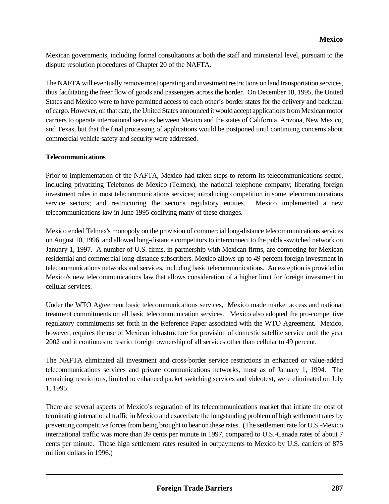Mexican governments, including formal consultations at both the staff and ministerial level, pursuant to the dispute resolution procedures of Chapter 20 of the NAFTA.

The NAFTA will eventually remove most operating and investment restrictions on land transportation services, thus facilitating the freer flow of goods and passengers across the border. On December 18, 1995, the United States and Mexico were to have permitted access to each other's border states for the delivery and backhaul of cargo. However, on that date, the United States announced it would accept applications from Mexican motor carriers to operate international services between Mexico and the states of California, Arizona, New Mexico, and Texas, but that the final processing of applications would be postponed until continuing concerns about commercial vehicle safety and security were addressed.

#### **Telecommunications**

Prior to implementation of the NAFTA, Mexico had taken steps to reform its telecommunications sector, including privatizing Telefonos de Mexico (Telmex), the national telephone company; liberating foreign investment rules in most telecommunications services; introducing competition in some telecommunications service sectors; and restructuring the sector's regulatory entities. Mexico implemented a new telecommunications law in June 1995 codifying many of these changes.

Mexico ended Telmex's monopoly on the provision of commercial long-distance telecommunications services on August 10, 1996, and allowed long-distance competitors to interconnect to the public-switched network on January 1, 1997. A number of U.S. firms, in partnership with Mexican firms, are competing for Mexican residential and commercial long-distance subscribers. Mexico allows up to 49 percent foreign investment in telecommunications networks and services, including basic telecommunications. An exception is provided in Mexico's new telecommunications law that allows consideration of a higher limit for foreign investment in cellular services.

Under the WTO Agreement basic telecommunications services, Mexico made market access and national treatment commitments on all basic telecommunication services. Mexico also adopted the pro-competitive regulatory commitments set forth in the Reference Paper associated with the WTO Agreement. Mexico, however, requires the use of Mexican infrastructure for provision of domestic satellite service until the year 2002 and it continues to restrict foreign ownership of all services other than cellular to 49 percent.

The NAFTA eliminated all investment and cross-border service restrictions in enhanced or value-added telecommunications services and private communications networks, most as of January 1, 1994. The remaining restrictions, limited to enhanced packet switching services and videotext, were eliminated on July 1, 1995.

There are several aspects of Mexico's regulation of its telecommunications market that inflate the cost of terminating intenational traffic in Mexico and exacerbate the longstanding problem of high settlement rates by preventing competitive forces from being brought to bear on these rates. (The settlement rate for U.S.-Mexico international traffic was more than 39 cents per minute in 1997, compared to U.S.-Canada rates of about 7 cents per minute. These high settlement rates resulted in outpayments to Mexico by U.S. carriers of 875 million dollars in 1996.)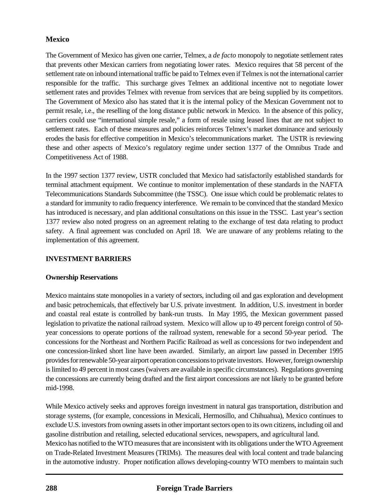The Government of Mexico has given one carrier, Telmex, a *de facto* monopoly to negotiate settlement rates that prevents other Mexican carriers from negotiating lower rates. Mexico requires that 58 percent of the settlement rate on inbound international traffic be paid to Telmex even if Telmex is not the international carrier responsible for the traffic. This surcharge gives Telmex an additional incentive not to negotiate lower settlement rates and provides Telmex with revenue from services that are being supplied by its competitors. The Government of Mexico also has stated that it is the internal policy of the Mexican Government not to permit resale, i.e., the reselling of the long distance public network in Mexico. In the absence of this policy, carriers could use "international simple resale," a form of resale using leased lines that are not subject to settlement rates. Each of these measures and policies reinforces Telmex's market dominance and seriously erodes the basis for effective competition in Mexico's telecommunications market. The USTR is reviewing these and other aspects of Mexico's regulatory regime under section 1377 of the Omnibus Trade and Competitiveness Act of 1988.

In the 1997 section 1377 review, USTR concluded that Mexico had satisfactorily established standards for terminal attachment equipment. We continue to monitor implementation of these standards in the NAFTA Telecommunications Standards Subcommittee (the TSSC). One issue which could be problematic relates to a standard for immunity to radio frequency interference. We remain to be convinced that the standard Mexico has introduced is necessary, and plan additional consultations on this issue in the TSSC. Last year's section 1377 review also noted progress on an agreement relating to the exchange of test data relating to product safety. A final agreement was concluded on April 18. We are unaware of any problems relating to the implementation of this agreement.

# **INVESTMENT BARRIERS**

# **Ownership Reservations**

Mexico maintains state monopolies in a variety of sectors, including oil and gas exploration and development and basic petrochemicals, that effectively bar U.S. private investment. In addition, U.S. investment in border and coastal real estate is controlled by bank-run trusts. In May 1995, the Mexican government passed legislation to privatize the national railroad system. Mexico will allow up to 49 percent foreign control of 50 year concessions to operate portions of the railroad system, renewable for a second 50-year period. The concessions for the Northeast and Northern Pacific Railroad as well as concessions for two independent and one concession-linked short line have been awarded. Similarly, an airport law passed in December 1995 provides for renewable 50-year airport operation concessions to private investors. However, foreign ownership is limited to 49 percent in most cases (waivers are available in specific circumstances). Regulations governing the concessions are currently being drafted and the first airport concessions are not likely to be granted before mid-1998.

While Mexico actively seeks and approves foreign investment in natural gas transportation, distribution and storage systems, (for example, concessions in Mexicali, Hermosillo, and Chihuahua), Mexico continues to exclude U.S. investors from owning assets in other important sectors open to its own citizens, including oil and gasoline distribution and retailing, selected educational services, newspapers, and agricultural land. Mexico has notified to the WTO measures that are inconsistent with its obligations under the WTO Agreement on Trade-Related Investment Measures (TRIMs). The measures deal with local content and trade balancing in the automotive industry. Proper notification allows developing-country WTO members to maintain such